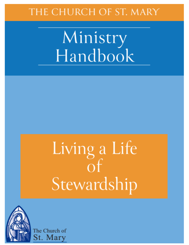# THE CHURCH OF ST. MARY

Ministry<br>Handbook

# Living a Life  $\overline{of}$ Stewardship



The Church of St. Mary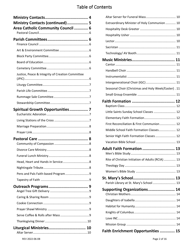#### Table of Contents

| Ministry Contacts (continued)  5                 |
|--------------------------------------------------|
| Area Catholic Community Council  6               |
|                                                  |
|                                                  |
|                                                  |
|                                                  |
|                                                  |
|                                                  |
|                                                  |
| Justice, Peace & Integrity of Creation Committee |
|                                                  |
|                                                  |
|                                                  |
|                                                  |
| Spiritual Growth Opportunities 7                 |
|                                                  |
|                                                  |
|                                                  |
|                                                  |
|                                                  |
|                                                  |
|                                                  |
|                                                  |
|                                                  |
|                                                  |
|                                                  |
|                                                  |
|                                                  |
|                                                  |
|                                                  |
|                                                  |
|                                                  |
| Liturgical Ministries 10                         |

| Extraordinary Minister of Holy Communion  10        |  |
|-----------------------------------------------------|--|
|                                                     |  |
|                                                     |  |
|                                                     |  |
|                                                     |  |
|                                                     |  |
|                                                     |  |
|                                                     |  |
|                                                     |  |
|                                                     |  |
| Seasonal Choir (Christmas and Holy Week/Easter). 11 |  |
|                                                     |  |
|                                                     |  |
|                                                     |  |
| Little Saints Sunday School Classes  12             |  |
|                                                     |  |
| First Reconciliation & First Communion 12           |  |
| Middle School Faith Formation Classes 12            |  |
| Senior High Faith Formation Classes  12             |  |
|                                                     |  |
| Adult Faith Formation  13                           |  |
| Rite of Christian Initiation of Adults (RCIA)  13   |  |
|                                                     |  |
|                                                     |  |
| Parish Library at St. Mary's School  13             |  |
| Supporting Organizations 14                         |  |
|                                                     |  |
|                                                     |  |
|                                                     |  |
|                                                     |  |
|                                                     |  |
| Faith Enrichment Opportunities  15                  |  |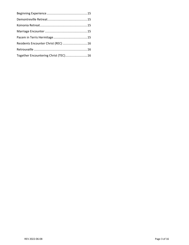| Residents Encounter Christ (REC) 16  |  |
|--------------------------------------|--|
|                                      |  |
| Together Encountering Christ (TEC)16 |  |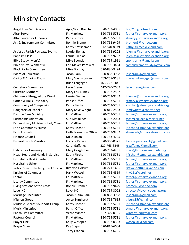# <span id="page-3-0"></span>Ministry Contacts

Angel Tree Gift Delivery April/Brad Brejcha 320-762-4055 [brej215@hotmail.com](mailto:brej215@hotmail.com) Altar Server **Fr. Matthew** 320-763-5781 [father@stmaryalexandria.org](mailto:father@stmaryalexandria.org) Art & Environment Committee Bonnie Bromen 320-763-9429 bromen 5@yahoo.com

Bible Study (Men's) Mike Sponsler 320-759-1911 [sponslermc@gmail.com](mailto:sponslermc@gmail.com) Block Party Committee Mike Donnay 320-886-9494 Board of Education Jason Rauk 320-808-3998 [jasonrauk@gmail.com](mailto:jasonrauk@gmail.com)

Cemetery Committee Leon Breun 612-720-7609 [leon.breun@mac.com](mailto:leon.breun@mac.com) Christian Mothers Mary Lou Klimek 320-762-2502 Children's Liturgy of the Word Laurie Bienias 320-763-9202 [lbienias@stmaryalexandria.org](mailto:lbienias@stmaryalexandria.org) Coffee & Rolls Hospitality Parish Office 320-763-5781 [stmary@stmaryalexandria.org](mailto:stmary@stmaryalexandria.org) Community of Compassion Kathy Fischer 320-763-5781 [kfischer@stmaryalexandria.org](mailto:kfischer@stmaryalexandria.org) Daughters of Isabella Mary Kaye Wright 320-815-2553 [jemkwright@charter.net](mailto:jemkwright@charter.net) Divorce Care Ministry **Fr. Matthew 520-763-5781** [father@stmaryalexandria.org](mailto:father@stmaryalexandria.org) Eucharistic Adoration Sue McCulloch 320-762-2053 [tscamcculloch@charter.net](mailto:tscamcculloch@charter.net) Extraordinary Minister of Holy Comm. Fr. Matthew 320-763-5781 [father@stmaryalexandria.org](mailto:father@stmaryalexandria.org) Faith Community Nurse Kathy Fischer 320-763-5781 [kfischer@stmaryalexandria.org](mailto:kfischer@stmaryalexandria.org) Faith Formation Faith Formation Office 320-763-9202 [stmreled@stmaryalexandria.org](mailto:stmreled@stmaryalexandria.org) Finance Council Mike Dolan 320-763-4705 Funeral Lunch Ministry Francie Peterson 320-360-0325 [francie.peterson1@gmail.com](mailto:francie.peterson1@gmail.com)

Habitat for Humanity **Mary Gorghuber** 320-762-4255 [mary@hfhdouglascounty.org](mailto:mary@hfhdouglascounty.org) Head, Heart and Hands in Service Kathy Fischer 320-763-5781 [kfischer@stmaryalexandria.org](mailto:kfischer@stmaryalexandria.org) Hospitality Desk Greeter Fr. Matthew 320-763-5781 [father@stmaryalexandria.org](mailto:father@stmaryalexandria.org) Hospitality Usher **Fr. Matthew** 320-763-5781 [father@stmaryalexandria.org](mailto:father@stmaryalexandria.org) Justice Peace & the Integrity of Creation Rita von Holtum 320-221-1435 [ritavonholtum@yahoo.com](mailto:ritavonholtum@yahoo.com) Knights of Columbus Hank Wessel 320-766-4519 [hjw151@gctel.net](mailto:hjw151@gctel.net) Lector **Fr. Matthew 520-763-5781** Father@stmaryalexandria.org [father@stmaryalexandria.org](mailto:father@stmaryalexandria.org) Liturgy Committee Fr. Matthew 320-763-5781 [father@stmaryalexandria.org](mailto:father@stmaryalexandria.org) Living Stations of the Cross Bonnie Bromen 320-763-9429 [bromen5@yahoo.com](mailto:bromen5@yahoo.com) Love INC Love INC Love INC 320-759-3022 [director@loveincdouglas.org](mailto:director@loveincdouglas.org) Marriage Encounter Jason & Kim Rauk 320-808-3998 [jasonrauk@gmail.com](mailto:jasonrauk@gmail.com) Mission Group Joyce Burghardt 320-763-7615 [gjburg35@gmail.com](mailto:gjburg35@gmail.com) Multiple Sclerosis Support Group Kathy Fischer 320-763-5781 [kfischer@stmaryalexandria.org](mailto:kfischer@stmaryalexandria.org) Music Ministries Parish Office 320-763-5781 [stmary@stmaryalexandria.org](mailto:stmary@stmaryalexandria.org) Parish Life Committee Verna Winter 507-329-0135 [wintermj2@gmail.com](mailto:wintermj2@gmail.com) Pastoral Council Fr. Matthew 320-763-5781 [father@stmaryalexandria.org](mailto:father@stmaryalexandria.org) Prayer Link Mate Communication Celly Wosepka 320-762-0303 [wosepkak@aol.com](mailto:wosepkak@aol.com) Prayer Shawl **Kay Stepan** Kay Stepan 320-815-6604

Brian Langager 763-257-3181 Terry Crandall 320-763-6755

Altar Server for Funerals **Parish Office** 320-763-5781 [stmary@stmaryalexandria.org](mailto:stmary@stmaryalexandria.org) Kathy Kretschmer 612-840-8379 [kathy.kretsch@icloud.com](mailto:kathy.kretsch@icloud.com) Assist at Parish Retreats/Events Laurie Bienias 320-763-9202 [lbienias@stmaryalexandria.org](mailto:lbienias@stmaryalexandria.org) Baptism Class **Laurie Bienias** 1320-763-9202 [lbienias@stmaryalexandria.org](mailto:lbienias@stmaryalexandria.org) Bible Study (Women's) Lori Mayer-Perowitz 320-760-3454 [catholicwomenstudy@gmail.com](mailto:catholicwomenstudy@gmail.com) Caring & Sharing Room MaryAnn Langager 763-257-3181 [maryannllangager@gmail.com](mailto:maryannllangager@gmail.com) Carol Gaffaney 320-763-3345 [rcgaffaney@gmail.com](mailto:rcgaffaney@gmail.com)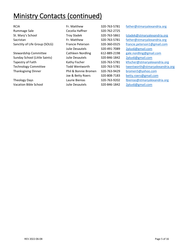# <span id="page-4-0"></span>**Ministry Contacts (continued)**

Rummage Sale **Cecelia Haffner** 320-762-2725

Stewardship Committee **Cathleen Nordling 612-889-2198** [gale.nordling@gmail.com](mailto:gale.nordling@gmail.com) Sunday School (Little Saints) Julie Desautels 320-846-1842 [2plus6@gmail.com](mailto:2plus6@gmail.com) Thanksgiving Dinner Phil & Bonnie Bromen 320-763-9429 [bromen5@yahoo.com](mailto:bromen5@yahoo.com)

Vacation Bible School Julie Desautels 320-846-1842 [2plus6@gmail.com](mailto:2plus6@gmail.com)

Julie Desautels 320-491-7089 [2plus6@gmail.com](mailto:2plus6@gmail.com)

RCIA Fr. Matthew 320-763-5781 [father@stmaryalexandria.org](mailto:father@stmaryalexandria.org)

St. Mary's School Troy Sladek 320-763-5861 [tsladek@stmaryalexandria.org](mailto:tsladek@stmaryalexandria.org) Sacristan Fr. Matthew 320-763-5781 [father@stmaryalexandria.org](mailto:father@stmaryalexandria.org) Sanctity of Life Group (SOLG) Francie Peterson 320-360-0325 francie.peterson 1@gmail.com Tapestry of Faith Kathy Fischer 320-763-5781 [kfischer@stmaryalexandria.org](mailto:kfischer@stmaryalexandria.org) Technology Committee Todd Wentworth 320-763-5781 [twentworth@stmaryalexandria.org](mailto:twentworth@stmaryalexandria.org) Joe & Betty Roers 320-808-7183 [betty.roers@gmail.com](mailto:betty.roers@gmail.com) Theology Days Laurie Bienias 320-763-9202 [lbienias@stmaryalexandria.org](mailto:lbienias@stmaryalexandria.org)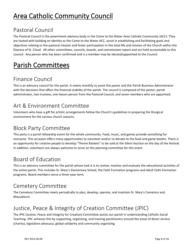# <span id="page-5-0"></span>Area Catholic Community Council

# <span id="page-5-1"></span>Pastoral Council

The Pastoral Council is the preeminent advisory body in the Come to the Water Area Catholic Community (ACC). They are tasked with building an identity as the Come to the Water ACC, assist in establishing and facilitating goals and objectives relating to the pastoral mission and foster participation in the total life and mission of the Church within the Diocese of St. Cloud. All other committees, councils, boards, and commissions report and are held accountable to this council. Any person who has been confirmed and is a member may be elected/appointed to the Council.

# <span id="page-5-2"></span>Parish Committees

# <span id="page-5-3"></span>Finance Council

This is an advisory council for the parish. It meets monthly to assist the pastor and the Parish Business Administrator with the decisions that affect the financial stability of the parish. The council is composed of the pastor, parish administrator, two trustees, one liaison person from the Pastoral Council, and seven members who are appointed.

#### <span id="page-5-4"></span>Art & Environment Committee

Volunteers who have a gift for artistic arrangements follow the Church's guidelines in preparing the liturgical environment for the various church seasons.

# <span id="page-5-5"></span>Block Party Committee

This party is a parish fellowship event for the whole community. Food, music, and games provide something for everyone. This occasion offers many opportunities to volunteer and/or to donate to the food and game booths. There is an opportunity for creative people to develop "Theme Baskets" to be sold at the Silent Auction on the day of the festival. In addition, volunteers are always welcome to serve on the planning committee for this event.

# <span id="page-5-6"></span>Board of Education

This is an advisory committee for the parish whose task it is to review, monitor and evaluate the educational activities of the entire parish. This includes St. Mary's Elementary School, the Faith Formation programs and Adult Faith Formation programs. Board members serve a three-year term.

# <span id="page-5-7"></span>Cemetery Committee

The Cemetery Committee meets periodically to plan, develop, operate, and maintain St. Mary's Cemetery and Mausoleum.

# <span id="page-5-8"></span>Justice, Peace & Integrity of Creation Committee (JPIC)

The JPIC (Justice, Peace and Integrity for Creation) Committee assists our parish in understanding Catholic Social Teaching. JPIC achieves this by supporting, organizing, and training parishioners around the areas of direct service (charity), legislative advocacy, global solidarity and community organizing.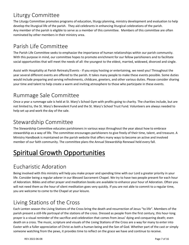# <span id="page-6-0"></span>Liturgy Committee

The Liturgy Committee promotes programs of education, liturgy planning, ministry development and evaluation to help develop the liturgical life of the parish. They aid celebrants in enhancing liturgical celebrations of the parish. Any member of the parish is eligible to serve as a member of this committee. Members of this committee are often nominated by other members in their ministry area.

# <span id="page-6-1"></span>Parish Life Committee

The Parish Life Committee seeks to emphasize the importance of human relationships within our parish community. With this purpose in mind, our committee hopes to promote enrichment for our fellow parishioners and to facilitate social opportunities that will meet the needs of all: the youngest to the eldest, married, widowed, divorced and single.

Assist with Hospitality at Parish Retreats/Events - If you enjoy hosting or entertaining, we need you! Throughout the year several different events are offered to the parish. It takes many people to make these events possible. Some duties would include preparing and serving refreshments, childcare, greeters, and other various duties. Please consider sharing your time and talent to help create a warm and inviting atmosphere to those who participate in these events.

# <span id="page-6-2"></span>Rummage Sale Committee

Once a year a rummage sale is held at St. Mary's School Gym with profits going to charity. The charities include, but are not limited to, the St. Mary's Benevolent Fund and the St. Mary's School Trust Fund. Volunteers are always needed to help set up and work the day of the sale.

# <span id="page-6-3"></span>Stewardship Committee

The Stewardship Committee educates parishioners in various ways throughout the year about how to embrace stewardship as a way of life. The committee encourages parishioners to give freely of their time, talent, and treasure. A Ministry Handbook is maintained on the parish website that offers many ways to become an active and involved member of our faith community. The committee plans the Annual Stewardship Renewal held every fall.

# <span id="page-6-4"></span>Spiritual Growth Opportunities

# <span id="page-6-5"></span>Eucharistic Adoration

Being involved with this ministry will help you make prayer and spending time with our Lord a greater priority in your life. Consider being a regular adorer in our Blessed Sacrament Chapel. We try to have two people present for each hour of Adoration. Bibles and other prayer and meditation books are available to enhance your hour of Adoration. Often you will not need them as the hour of silent meditation goes very quickly. If you are not able to commit to a regular time, you are welcome to come to the Chapel at your leisure.

# <span id="page-6-6"></span>Living Stations of the Cross

Each Lenten season the Living Stations of the Cross bring the death and resurrection of Jesus "to life". Members of the parish present a still-life portrayal of the stations of the cross. Dressed as people from the first century, this hour-long prayer is a visual reminder of the sacrifice and celebration that comes from Jesus' dying and conquering death; even death on a cross. The music, scripture and visuals of the Living Stations of the Cross are a way for many to enter into Easter with a fuller appreciation of Christ as both a human being and the Son of God. Whether part of the cast or simply someone watching from the pews, it provides time to reflect on the grace we have and continue to receive.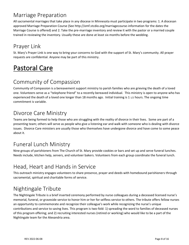# <span id="page-7-0"></span>Marriage Preparation

All sacramental marriages that take place in any diocese in Minnesota must participate in two programs: 1. A diocesan approved Marriage Preparation Course (See http://omf.stcdio.org/marriagecourse-information for the dates the Marriage Course is offered) and 2. Take the pre-marriage inventory and review it with the pastor or a married couple trained in reviewing the inventory. Usually these are done at least six months before the wedding.

# <span id="page-7-1"></span>Prayer Link

St. Mary's Prayer Link is one way to bring your concerns to God with the support of St. Mary's community. All prayer requests are confidential. Anyone may be part of this ministry.

# <span id="page-7-2"></span>Pastoral Care

# <span id="page-7-3"></span>Community of Compassion

Community of Compassion is a bereavement support ministry to parish families who are grieving the death of a loved one. Volunteers serve as a "telephone friend" to a recently bereaved individual. This ministry is open to anyone who has experienced the death of a loved one longer than 18 months ago. Initial training is 1 1/2 hours. The ongoing time commitment is variable.

# <span id="page-7-4"></span>Divorce Care Ministry

Teams are being formed to help those who are struggling with the reality of divorce in their lives. Some are part of a presenting team; others will serve as people who give a listening ear and walk with someone who is dealing with divorce issues. Divorce Care ministers are usually those who themselves have undergone divorce and have come to some peace about it.

# <span id="page-7-5"></span>Funeral Lunch Ministry

Nine groups of parishioners from The Church of St. Mary provide cookies or bars and set up and serve funeral lunches. Needs include, kitchen help, servers, and volunteer bakers. Volunteers from each group coordinate the funeral lunch.

# <span id="page-7-6"></span>Head, Heart and Hands in Service

This outreach ministry engages volunteers to share presence, prayer and deeds with homebound parishioners through sacramental, spiritual and charitable forms of service.

# <span id="page-7-7"></span>Nightingale Tribute

The Nightingale Tribute is a brief inserted ceremony performed by nurse colleagues during a deceased licensed nurse's memorial, funeral, or graveside service to honor him or her for selfless service to others. The tribute offers fellow nurses an opportunity to commemorate and recognize their colleague's work while recognizing the nurse's unique contributions and service to saving lives. This program is two-fold: 1) spreading the word to families of deceased nurses of this program offering; and 2) recruiting interested nurses (retired or working) who would like to be a part of the Nightingale team for the Alexandria area.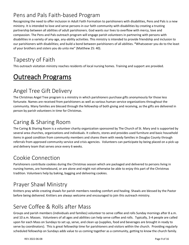# <span id="page-8-0"></span>Pens and Pals Faith-based Program

Recognizing the need to offer inclusion in Adult Faith Formation to parishioners with disabilities, Pens and Pals is a new ministry. It is intended to love and serve persons in our faith community with disabilities by creating a trusting partnership between all abilities of adult parishioners. God wants our lives to overflow with mercy, love and compassion. The Pens and Pals outreach program will engage parish volunteers in partnering with persons with disabilities in a variety of any-age, any-ability activities. This ministry is intended to provide friendship and inclusion to our parishioners with disabilities; and build a bond between parishioners of all abilities. **"**Whatsoever you do to the least of your brothers and sisters you do unto me" (Matthew 25: 40).

# <span id="page-8-1"></span>Tapestry of Faith

This outreach visitation ministry reaches residents of local nursing homes. Training and support are provided.

# <span id="page-8-2"></span>Outreach Programs

# <span id="page-8-3"></span>Angel Tree Gift Delivery

The Christmas Angel Tree program is a ministry in which parishioners purchase gifts anonymously for those less fortunate. Names are received from parishioners as well as various human service organizations throughout the community. Many families are blessed through the fellowship of both giving and receiving, as the gifts are delivered in person by parish volunteers in time for Christmas.

#### <span id="page-8-4"></span>Caring & Sharing Room

The Caring & Sharing Room is a volunteer charity organization sponsored by The Church of St. Mary and is supported by several area churches, organizations and individuals. It collects, stores and provides used furniture and basic household items in good condition from community members and shares them with needy families in Douglas County through referrals from approved community service and crisis agencies. Volunteers can participate by being placed on a pick-up and delivery team that serves once every 6 weeks.

#### <span id="page-8-5"></span>Cookie Connection

Parishioners contribute cookies during the Christmas season which are packaged and delivered to persons living in nursing homes, are homebound, or are alone and might not otherwise be able to enjoy this part of the Christmas tradition. Volunteers help by baking, bagging and delivering cookies.

# <span id="page-8-6"></span>Prayer Shawl Ministry

Knitters pray while creating shawls for parish members needing comfort and healing. Shawls are blessed by the Pastor before being delivered. Knitters are always welcome and encouraged to join this outreach ministry.

# <span id="page-8-7"></span>Serve Coffee & Rolls after Mass

Groups and parish members (individuals and families) volunteer to serve coffee and rolls Sunday mornings after 8 a.m. and 10 a.m. Masses. Volunteers of all ages and abilities can help serve coffee and rolls. Typically, 3-4 people are called upon for each Mass on Sundays to set up, serve, and clean up (supplies, food and beverages are brought in ready to serve by coordinators). This is great fellowship time for parishioners and visitors within the church. Providing regularly scheduled fellowship on Sundays adds value to us coming together as a community, getting to know the church family.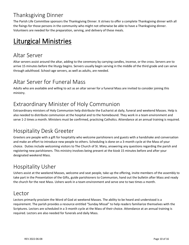# <span id="page-9-0"></span>Thanksgiving Dinner

The Parish Life Committee sponsors the Thanksgiving Dinner. It strives to offer a complete Thanksgiving dinner with all the fixings for those persons in the community who might not otherwise be able to have a Thanksgiving dinner. Volunteers are needed for the preparation, serving, and delivery of these meals.

# <span id="page-9-1"></span>Liturgical Ministries

# <span id="page-9-2"></span>Altar Server

Altar servers assist around the altar, adding to the ceremony by carrying candles, incense, or the cross. Servers are to arrive 15 minutes before the liturgy begins. Servers usually begin serving in the middle of the third grade and can serve through adulthood. School-age servers, as well as adults, are needed.

#### <span id="page-9-3"></span>Altar Server for Funeral Mass

Adults who are available and willing to act as an altar server for a funeral Mass are invited to consider joining this ministry.

# <span id="page-9-4"></span>Extraordinary Minister of Holy Communion

Extraordinary ministers of Holy Communion help distribute the Eucharist at daily, funeral and weekend Masses. Help is also needed to distribute communion at the hospital and to the homebound. They work in a team environment and serve 1-2 times a month. Ministers must be confirmed, practicing Catholics. Attendance at an annual training is required.

# <span id="page-9-5"></span>Hospitality Desk Greeter

Greeters are people with a gift for hospitality who welcome parishioners and guests with a handshake and conversation and make an effort to introduce new people to others. Scheduling is done on a 3-month cycle at the Mass of your choice. Duties include welcoming visitors to The Church of St. Mary, answering any questions regarding the parish and registering new parishioners. This ministry involves being present at the kiosk 15 minutes before and after your designated weekend Mass.

# <span id="page-9-6"></span>Hospitality Usher

Ushers assist at the weekend Masses, welcome and seat people, take up the offering, invite members of the assembly to take part in the Presentation of the Gifts, guide parishioners to Communion, hand out the bulletin after Mass and ready the church for the next Mass. Ushers work in a team environment and serve one to two times a month.

#### <span id="page-9-7"></span>Lector

Lectors primarily proclaim the Word of God at weekend Masses. The ability to be heard and understood is a requirement. The parish provides a resource entitled "Sunday Missal" to help readers familiarize themselves with the Scriptures. Lectors are scheduled in a 3-month cycle at the Mass of their choice. Attendance at an annual training is required. Lectors are also needed for funerals and daily Mass.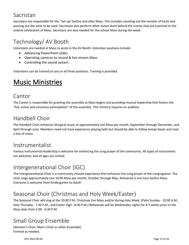#### <span id="page-10-0"></span>Sacristan

Sacristans are responsible for the "set-up" before and after Mass. This includes counting out the number of hosts and pouring out the wine to be used. Sacristans also perform other duties done behind the scenes that are essential to the orderly celebration of Mass. Sacristans are also needed for the school Mass during the week.

# <span id="page-10-1"></span>Technology/ AV Booth

Volunteers are needed at Mass to assist in the AV Booth. Volunteer positions include:

- Advancing PowerPoint slides
- Operating cameras to record & live stream Mass
- Controlling the sound system

<span id="page-10-2"></span>Volunteers can be trained on any or all three positions. Training is provided.

# Music Ministries

#### <span id="page-10-3"></span>Cantor

The Cantor is responsible for greeting the assembly as Mass begins and providing musical leadership that fosters the "full, active and conscious participation" of the assembly. This ministry requires an audition.

# <span id="page-10-4"></span>Handbell Choir

The Handbell Choir enhances liturgical music at approximately one Mass per month, September through December, and April through June. Members need not have experience playing bells but should be able to follow tempo beats and read a line of notes.

#### <span id="page-10-5"></span>Instrumentalist

Various instrumental leadership is welcome for enhancing the sung prayer of the community. All types of instruments are welcome, and all ages are invited.

# <span id="page-10-6"></span>Intergenerational Choir (IGC)

The Intergenerational Choir is a community infused experience that enhances the sung prayer of the congregation. The choir sings approximately one 10:00 Mass per month, October through May. Rehearsal is one hour before Mass. Everyone is welcome from Kindergarten to Adult!

# <span id="page-10-7"></span>Seasonal Choir (Christmas and Holy Week/Easter)

The Seasonal Choir will sing at the 10:00 P.M. Christmas Eve Mass and/or during Holy Week. (Palm Sunday - 10:00 A.M., Holy Thursday - 7:30 P.M., and Easter Vigil - 8:30 P.M.) Rehearsals will be Wednesday nights for 4-5 weeks prior to the Mass date from 5:00 - 6:30 P.M.

# <span id="page-10-8"></span>Small Group Ensemble

(Women's Choir, Men's Choir or other Ensemble) Formed as needed.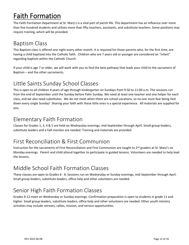# <span id="page-11-0"></span>Faith Formation

The Faith Formation Department at St. Mary's is a vital part of parish life. This department has an influence over more than five hundred students and utilizes more than fifty teachers, assistants, and substitute teachers. Some positions may require training, which will be provided.

# <span id="page-11-1"></span>Baptism Class

This Baptism class is offered one night every other month. It is required for those parents who, for the first time, are having a child baptized into the Catholic faith. Children who are 7 years old or younger are considered an "infant" regarding baptism within the Catholic Church.

If your child is age 7 or older, we will work with you to find the best pathway that leads your child to the sacrament of Baptism – and the other sacraments.

# <span id="page-11-2"></span>Little Saints Sunday School Classes

This is open to all children 4 years of age through kindergarten on Sundays from 9:50 to 11:00 a.m. The sessions run from the end of September until the Sunday before Palm Sunday. We need at least one teacher and one helper for each class, and we also need substitutes. We do not meet when there are school vacations, so no one must fear being tied down every single Sunday! Sharing your faith with these little ones is a special experience. All materials are supplied for you.

#### <span id="page-11-3"></span>Elementary Faith Formation

Classes for Grades 1, 3, 4 & 5 are held on Wednesday evenings, mid-September through April. Small group leaders, substitute leaders and a hall monitor are needed. Training and materials are provided.

# <span id="page-11-4"></span>First Reconciliation & First Communion

Instruction for the sacraments of First Reconciliation and First Communion are taught to 2<sup>nd</sup> graders at St. Mary's on Monday evenings. Parent and child attend together to participate in guided lessons. Volunteers are needed to help lead the lessons.

# <span id="page-11-5"></span>Middle School Faith Formation Classes

These classes are open to Grades 6 - 8. Sessions run on Wednesday or Sunday evenings, mid-September through April. Small group leaders, substitute leaders, office help and other volunteers are needed.

# <span id="page-11-6"></span>Senior High Faith Formation Classes

Grades 9-12 meet on Wednesday or Sunday evenings. Confirmation preparation is open to students in grade 11 and higher. Small group leaders, substitute leaders, office help and other volunteers are needed. Other youth ministry activities may include retreats, rallies, mission, and service opportunities.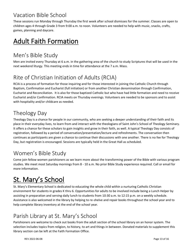# <span id="page-12-0"></span>Vacation Bible School

These sessions run Monday through Thursday the first week after school dismisses for the summer. Classes are open to children ages 4 through Grade 3 from 9:00 a.m. to noon. Volunteers are needed to help with music, snacks, crafts, games, planning and daycare.

# <span id="page-12-1"></span>Adult Faith Formation

# <span id="page-12-2"></span>Men's Bible Study

Men are invited every Thursday at 6 a.m. in the gathering area of the church to study Scriptures that will be used in the next weekend liturgy. This meeting ends in time for attendance at the 7 a.m. Mass.

# <span id="page-12-3"></span>Rite of Christian Initiation of Adults (RCIA)

RCIA is a process of formation for those inquiring and for those interested in joining the Catholic Church through Baptism, Confirmation and Eucharist (full initiation) or from another Christian denomination through Confirmation, Eucharist and Reconciliation. It is also for those baptized Catholic but who have had little formation and need to receive Eucharist and/or Confirmation. RCIA meets on Thursday evenings. Volunteers are needed to be sponsors and to assist with hospitality and/or childcare as needed.

# <span id="page-12-4"></span>Theology Day

Theology Day is a chance for people in our community, who are seeking a deeper understanding of their faith and its place in their everyday lives, to learn from and interact with the theologians of Saint John's School of Theology Seminary. It offers a chance for these scholars to gain insights and grow in their faith, as well. A typical Theology Day consists of registration, followed by a period of conversation/presentation/lecture and refreshments. The conversation then continues as participants are given a chance to continue their discussions with one another. There is no fee for Theology Day, but registration is encouraged. Sessions are typically held in the Great Hall as scheduled.

# <span id="page-12-5"></span>Women's Bible Study

Come join fellow women parishioners as we learn more about the transforming power of the Bible with various program studies. We meet most Saturday mornings from 8 - 10 a.m. No prior Bible Study experience required. Call or email for more information.

# <span id="page-12-6"></span>St. Mary's School

St. Mary's Elementary School is dedicated to educating the whole child within a nurturing Catholic Christian environment for students in grades K thru 6. Opportunities for adults to be involved include being a Lunch Helper by assisting in preparation and serving daily lunch to students from 10:30 a.m. to 12:15 p.m. on a weekly schedule. Assistance is also welcomed in the library by helping to re-shelve and repair books throughout the school year and to help complete library inventory at the end of the school year.

# <span id="page-12-7"></span>Parish Library at St. Mary's School

Parishioners are welcome to check out books from the adult section of the school library on an honor system. The selection includes topics from religion, to history, to art and things in between. Donated materials to supplement this library section can be left at the Faith Formation Office.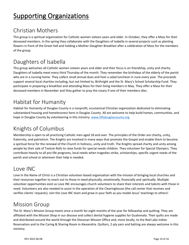# <span id="page-13-0"></span>**Supporting Organizations**

# <span id="page-13-1"></span>Christian Mothers

This group is a spiritual organization for Catholic women sixteen years and older. In October, they offer a Mass for their deceased members. In the spring they collaborate with the Daughters of Isabella in several projects such as planting flowers in front of the Great Hall and holding a Mother-Daughter Breakfast after a celebration of Mass for the members of the group.

# <span id="page-13-2"></span>Daughters of Isabella

This group welcomes all Catholic women sixteen years and older and their focus is on friendship, unity and charity. Daughters of Isabella meet every third Thursday of the month. They remember the birthdays of the elderly of the parish who are in a nursing home. They collect small annual dues and host a salad luncheon in June every year. The proceeds support several local charities including, but not limited to, Birthright and the St. Mary's School Scholarship Fund. They participate in preparing a breakfast and attending Mass for their living members in May. They offer a Mass for their deceased members in November and they gather to pray the rosary if one of their members dies.

# <span id="page-13-3"></span>Habitat for Humanity

Habitat for Humanity of Douglas County is a nonprofit, ecumenical Christian organization dedicated to eliminating substandard housing and homelessness here in Douglas County. All are welcome to help build homes, communities, and hope in Douglas County by volunteering in this ministry. [www.hfhdouglascounty.org](http://www.hfhdouglascounty.org/)

# <span id="page-13-4"></span>Knights of Columbus

Membership is open to all practicing Catholic men aged 18 and over. The principles of the Order are charity, unity, fraternity, and patriotism. The Knights are involved in many ways that promote the Gospel and enable them to become a spiritual force for the renewal of the Church in holiness, unity and truth. The Knights spread charity and unity among people by their sale of Tootsie Rolls to raise funds for special needs children. They volunteer for Special Olympics. They contribute heavily to all pro-life programs, local needs when tragedies strike, scholarships, specific urgent needs of the parish and school or wherever their help is needed.

# <span id="page-13-5"></span>Love INC

Love In the Name of Christ is a Christian volunteer-based organization with the mission of bringing local churches and their resources together to reach out to those in need physically, emotionally, financially and spiritually. Multiple volunteer opportunities exist as Love INC encourages church volunteers to share their interests and talents with those in need. Volunteers are also needed to assist in the operation of the Clearinghouse (the call center that receives and verifies clients' requests). Join the Love INC team and grow in your faith as you model Jesus' teachings to others!

#### <span id="page-13-6"></span>Mission Group

The St. Mary's Mission Group meets once a month for eight months of the year for fellowship and quilting. They are affiliated with the Mission Shop in our diocese and collect dental hygiene supplies for Guatemala. Their quilts are made and distributed around the world through the Diocesan Mission Office and, more locally, to the Red Lake Indian Reservation and to the Caring & Sharing Room in Alexandria. Quilters, 2-ply yarn and batting are always welcome in this ministry.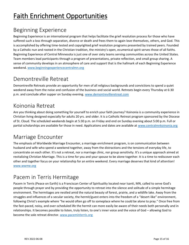# <span id="page-14-0"></span>Faith Enrichment Opportunities

# <span id="page-14-1"></span>Beginning Experience

Beginning Experience is an international program that helps facilitate the grief resolution process for those who have suffered such a loss through separation, divorce or death and frees them to again love themselves, others, and God. This is accomplished by offering time-tested and copyrighted grief resolution programs presented by trained peers. Founded by a Catholic nun and rooted in the Christian tradition, the ministry's open, ecumenical spirit serves those of all faiths. Beginning Experience of Central Minnesota is just one of over sixty teams serving communities across the United States. Team members lead participants through a program of presentations, private reflection, and small group sharing. A sense of community develops in an atmosphere of care and support that is the hallmark of each Beginning Experience weekend. [www.beginningexperiencecentralmn.org](http://www.beginningexperiencecentralmn.org/)

#### <span id="page-14-2"></span>Demontreville Retreat

Demontreville Retreats provide an opportunity for men of all religious backgrounds and convictions to spend a quiet weekend away from the noise and confusion of the business and social world. Retreats begin every Thursday at 6:30 p.m. and conclude after supper on Sunday evening. [www.demontrevilleretreat.com](http://www.demontrevilleretreat.com/)

# <span id="page-14-3"></span>Koinonia Retreat

Are you thinking about doing something for yourself to enrich your faith journey? Koinonia is a community experience in Christian living designed especially for adults 20 yrs. and older. It is a Catholic Retreat program sponsored by the Diocese of St. Cloud. The scheduled weekends begin at 5:30 p.m. on Friday and end on Sunday evening about 5:00 p.m. Full or partial scholarships are available for those in need. Applications and dates are available at [www.centralmnkoinonia.org](http://www.centralmnkoinonia.org/)

# <span id="page-14-4"></span>Marriage Encounter

The emphasis of Worldwide Marriage Encounter, a marriage enrichment program, is on communication between husband and wife who spend a weekend together, away from the distractions and the tensions of everyday life, to concentrate on each other. It's not a retreat, nor a marriage clinic, nor group sensitivity. It's a unique approach aimed at revitalizing Christian Marriage. This is a time for you and your spouse to be alone together. It is a time to rediscover each other and together focus on your relationship for an entire weekend. Every marriage deserves that kind of attention! [www.wwme.org](http://www.wwme.org/)

# <span id="page-14-5"></span>Pacem in Terris Hermitage

Pacem in Terris (Peace on Earth) is a Franciscan Center of Spirituality located near Isanti, MN, called to serve God's people through prayer and by providing the opportunity to retreat into the silence and solitude of a simple hermitage environment. The hermitages are nestled amid the natural beauty of forest, prairie, and a wildlife lake. Away from the struggles and influences of a secular society, the hermit/guest enters into the freedom of a "desert-like" environment, following Christ's example where "he would often go off to someplace where he could be alone to pray." Once free from the fast-paced, noisy, and over-scheduled life the hermit can more easily be aware of their needs both personally and in relationships. It becomes possible to listen, truly listen, to one's inner voice and the voice of God – allowing God to become the sole retreat director. [www.paceminterris.org](http://www.paceminterris.org/)